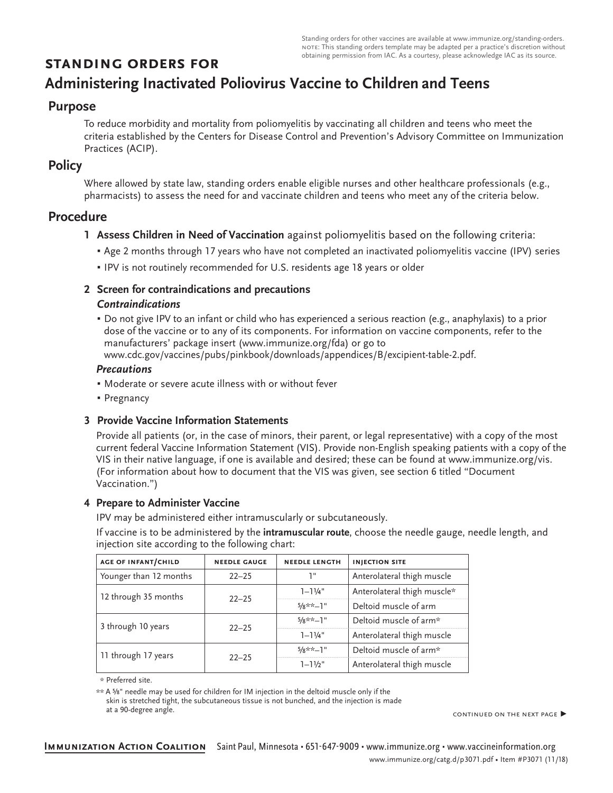Standing orders for other vaccines are available at www.immunize.org/standing-orders. note: This standing orders template may be adapted per a practice's discretion without obtaining permission from IAC. As a courtesy, please acknowledge IAC as its source.

# **standing orders for**

# **Administering Inactivated Poliovirus Vaccine to Children and Teens**

# **Purpose**

To reduce morbidity and mortality from poliomyelitis by vaccinating all children and teens who meet the criteria established by the Centers for Disease Control and Prevention's Advisory Committee on Immunization Practices (ACIP).

## **Policy**

Where allowed by state law, standing orders enable eligible nurses and other healthcare professionals (e.g., pharmacists) to assess the need for and vaccinate children and teens who meet any of the criteria below.

# **Procedure**

- **1 Assess Children in Need of Vaccination** against poliomyelitis based on the following criteria:
	- Age 2 months through 17 years who have not completed an inactivated poliomyelitis vaccine (IPV) series
	- **.** IPV is not routinely recommended for U.S. residents age 18 years or older

### **2 Screen for contraindications and precautions** *Contraindications*

# ▪ Do not give IPV to an infant or child who has experienced a serious reaction (e.g., anaphylaxis) to a prior dose of the vaccine or to any of its components. For information on vaccine components, refer to the

manufacturers' package insert (www.immunize.org/fda) or go to www.cdc.gov/vaccines/pubs/pinkbook/downloads/appendices/B/excipient-table-2.pdf.

## *Precautions*

- Moderate or severe acute illness with or without fever
- Pregnancy

## **3 Provide Vaccine Information Statements**

Provide all patients (or, in the case of minors, their parent, or legal representative) with a copy of the most current federal Vaccine Information Statement (VIS). Provide non-English speaking patients with a copy of the VIS in their native language, if one is available and desired; these can be found at www.immunize.org/vis. (For information about how to document that the VIS was given, see section 6 titled "Document Vaccination.")

## **4 Prepare to Administer Vaccine**

IPV may be administered either intramuscularly or subcutaneously.

If vaccine is to be administered by the **intramuscular route**, choose the needle gauge, needle length, and injection site according to the following chart:

| <b>AGE OF INFANT/CHILD</b> | <b>NEEDLE GAUGE</b> | <b>NEEDLE LENGTH</b> | <b>INJECTION SITE</b>       |
|----------------------------|---------------------|----------------------|-----------------------------|
| Younger than 12 months     | $22 - 25$           | יי ד                 | Anterolateral thigh muscle  |
| 12 through 35 months       | $22 - 25$           | $1 - 11/4$ "         | Anterolateral thigh muscle* |
|                            |                     | $5/8$ **-1"          | Deltoid muscle of arm       |
| 3 through 10 years         |                     | $5/8**-1"$           | Deltoid muscle of arm*      |
|                            | $22 - 25$           | $1 - 11/4$ "         | Anterolateral thigh muscle  |
| 11 through 17 years        | $22 - 25$           | $5/8**-1"$           | Deltoid muscle of arm*      |
|                            |                     | $1 - 11/2$ "         | Anterolateral thigh muscle  |

\* Preferred site.

\*\* A ⅝" needle may be used for children for IM injection in the deltoid muscle only if the

skin is stretched tight, the subcutaneous tissue is not bunched, and the injection is made at a 90-degree angle.

continued on the next page ▶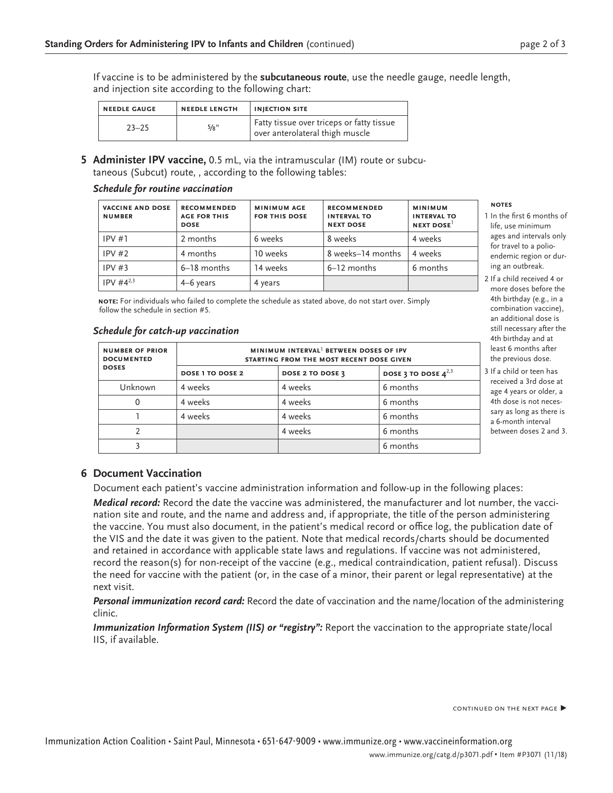If vaccine is to be administered by the **subcutaneous route**, use the needle gauge, needle length, and injection site according to the following chart:

| <b>NEEDLE GAUGE</b> | <b>NEEDLE LENGTH</b> | <b>INJECTION SITE</b>                                                        |
|---------------------|----------------------|------------------------------------------------------------------------------|
| $23 - 25$           | 5/8"                 | Fatty tissue over triceps or fatty tissue<br>over anterolateral thigh muscle |

**5 Administer IPV vaccine,** 0.5 mL, via the intramuscular (IM) route or subcutaneous (Subcut) route, , according to the following tables:

#### *Schedule for routine vaccination*

| <b>VACCINE AND DOSE</b><br><b>NUMBER</b> | <b>RECOMMENDED</b><br><b>AGE FOR THIS</b><br><b>DOSE</b> | <b>MINIMUM AGE</b><br><b>FOR THIS DOSE</b> | <b>RECOMMENDED</b><br><b>INTERVAL TO</b><br><b>NEXT DOSE</b> | <b>MINIMUM</b><br><b>INTERVAL TO</b><br>NEXT DOSE |
|------------------------------------------|----------------------------------------------------------|--------------------------------------------|--------------------------------------------------------------|---------------------------------------------------|
| IPV#1                                    | 2 months                                                 | 6 weeks                                    | 8 weeks                                                      | 4 weeks                                           |
| IPV#2                                    | 4 months                                                 | 10 weeks                                   | 8 weeks–14 months                                            | 4 weeks                                           |
| IPV#3                                    | $6-18$ months                                            | 14 weeks                                   | 6–12 months                                                  | 6 months                                          |
| $IPV #4^{2,3}$                           | 4–6 years                                                | 4 years                                    |                                                              |                                                   |

**note:** For individuals who failed to complete the schedule as stated above, do not start over. Simply follow the schedule in section #5.

#### *Schedule for catch-up vaccination*

| <b>NUMBER OF PRIOR</b><br><b>DOCUMENTED</b> | MINIMUM INTERVAL <sup>1</sup> BETWEEN DOSES OF IPV<br>STARTING FROM THE MOST RECENT DOSE GIVEN |                  |                          |  |
|---------------------------------------------|------------------------------------------------------------------------------------------------|------------------|--------------------------|--|
| <b>DOSES</b>                                | <b>DOSE 1 TO DOSE 2</b>                                                                        | DOSE 2 TO DOSE 3 | DOSE 3 TO DOSE $4^{2,3}$ |  |
| Unknown                                     | 4 weeks                                                                                        | 4 weeks          | 6 months                 |  |
|                                             | 4 weeks                                                                                        | 4 weeks          | 6 months                 |  |
|                                             | 4 weeks                                                                                        | 4 weeks          | 6 months                 |  |
|                                             |                                                                                                | 4 weeks          | 6 months                 |  |
|                                             |                                                                                                |                  | 6 months                 |  |

#### **notes**

- 1 In the first 6 months of life, use minimum ages and intervals only for travel to a polioendemic region or during an outbreak.
- 2 If a child received 4 or more doses before the 4th birthday (e.g., in a combination vaccine), an additional dose is still necessary after the 4th birthday and at least 6 months after the previous dose.
- 3 If a child or teen has received a 3rd dose at age 4 years or older, a 4th dose is not necessary as long as there is a 6-month interval between doses 2 and 3.

## **6 Document Vaccination**

Document each patient's vaccine administration information and follow-up in the following places:

*Medical record:* Record the date the vaccine was administered, the manufacturer and lot number, the vaccination site and route, and the name and address and, if appropriate, the title of the person administering the vaccine. You must also document, in the patient's medical record or office log, the publication date of the VIS and the date it was given to the patient. Note that medical records/charts should be documented and retained in accordance with applicable state laws and regulations. If vaccine was not administered, record the reason(s) for non-receipt of the vaccine (e.g., medical contraindication, patient refusal). Discuss the need for vaccine with the patient (or, in the case of a minor, their parent or legal representative) at the next visit.

*Personal immunization record card:* Record the date of vaccination and the name/location of the administering clinic.

*Immunization Information System (IIS) or "registry":* Report the vaccination to the appropriate state/local IIS, if available.

CONTINUED ON THE NEXT PAGE ▶